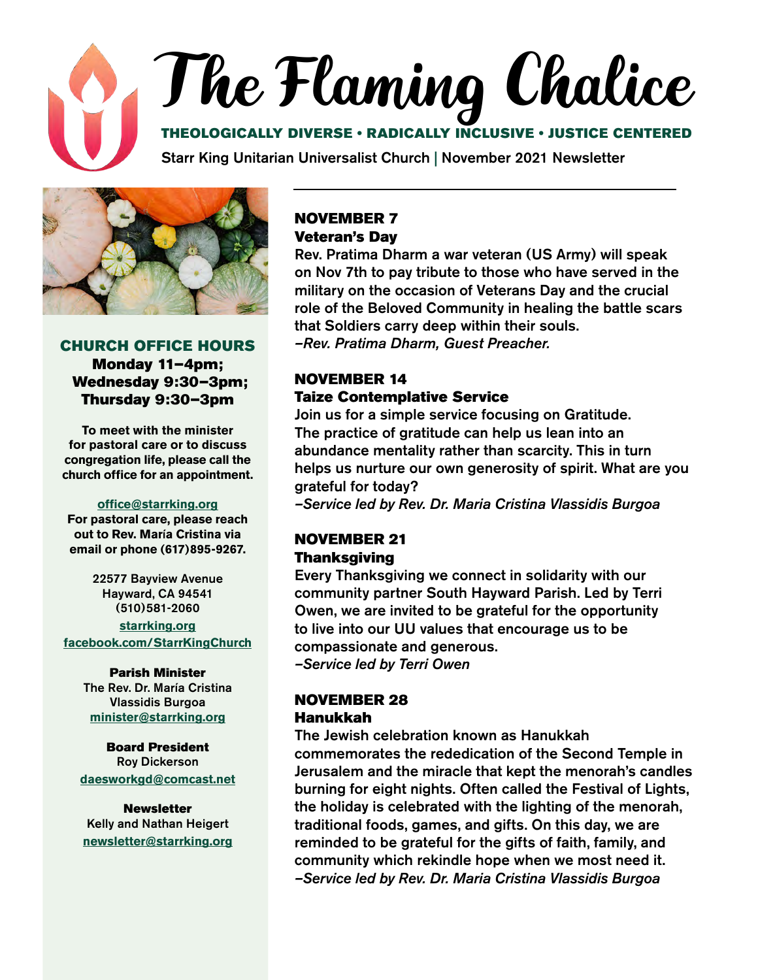# The Flaming Chalice

#### THEOLOGICALLY DIVERSE • RADICALLY INCLUSIVE • JUSTICE CENTERED

Starr King Unitarian Universalist Church | November 2021 Newsletter



#### CHURCH OFFICE HOURS Monday 11–4pm; Wednesday 9:30–3pm; Thursday 9:30–3pm

**To meet with the minister for pastoral care or to discuss congregation life, please call the church office for an appointment.**

#### **[office@starrking.org](mailto:office@starrking.org)**

**For pastoral care, please reach out to Rev. Mar**í**a Cristina via email or phone (617)895-9267.** 

> 22577 Bayview Avenue Hayward, CA 94541 (510)581-2060

**[starrking.org](http://starrking.org) [facebook.com/StarrKingChurch](http://facebook.com/StarrKingChurch)**

#### Parish Minister

The Rev. Dr. María Cristina Vlassidis Burgoa **[minister@starrking.org](mailto:minister@starrking.org)**

#### Board President Roy Dickerson **[daesworkgd@comcast.net](mailto:daesworkgd%40comcast.net?subject=)**

**Newsletter** Kelly and Nathan Heigert **[newsletter@starrking.org](mailto:newsletter%40starrking.org?subject=)**

#### NOVEMBER 7 Veteran's Day

Rev. Pratima Dharm a war veteran (US Army) will speak on Nov 7th to pay tribute to those who have served in the military on the occasion of Veterans Day and the crucial role of the Beloved Community in healing the battle scars that Soldiers carry deep within their souls. *–Rev. Pratima Dharm, Guest Preacher.* 

#### NOVEMBER 14 Taize Contemplative Service

Join us for a simple service focusing on Gratitude. The practice of gratitude can help us lean into an abundance mentality rather than scarcity. This in turn helps us nurture our own generosity of spirit. What are you grateful for today?

*–Service led by Rev. Dr. Maria Cristina Vlassidis Burgoa*

#### NOVEMBER 21 Thanksgiving

Every Thanksgiving we connect in solidarity with our community partner South Hayward Parish. Led by Terri Owen, we are invited to be grateful for the opportunity to live into our UU values that encourage us to be compassionate and generous. *–Service led by Terri Owen*

#### NOVEMBER 28 Hanukkah

The Jewish celebration known as Hanukkah commemorates the rededication of the Second Temple in Jerusalem and the miracle that kept the menorah's candles burning for eight nights. Often called the Festival of Lights, the holiday is celebrated with the lighting of the menorah, traditional foods, games, and gifts. On this day, we are reminded to be grateful for the gifts of faith, family, and community which rekindle hope when we most need it. *–Service led by Rev. Dr. Maria Cristina Vlassidis Burgoa*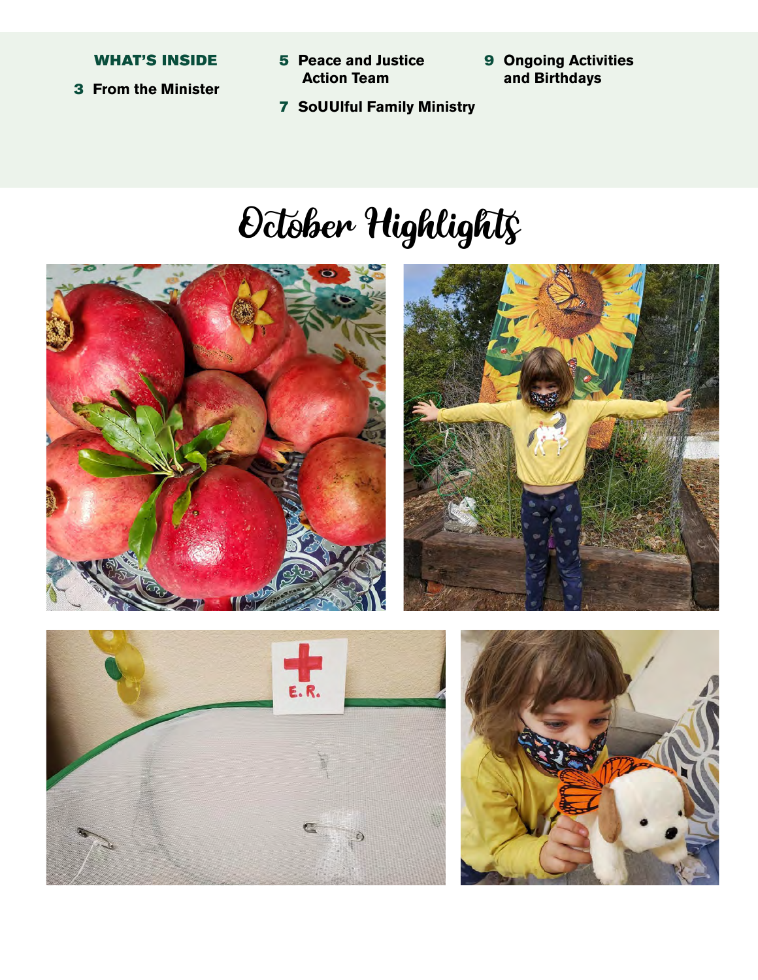#### WHAT'S INSIDE

- 3 **From the Minister**
- 5 **Peace and Justice Action Team**
- 9 **Ongoing Activities and Birthdays**
- 7 **SoUUlful Family Ministry**

# October Highlights





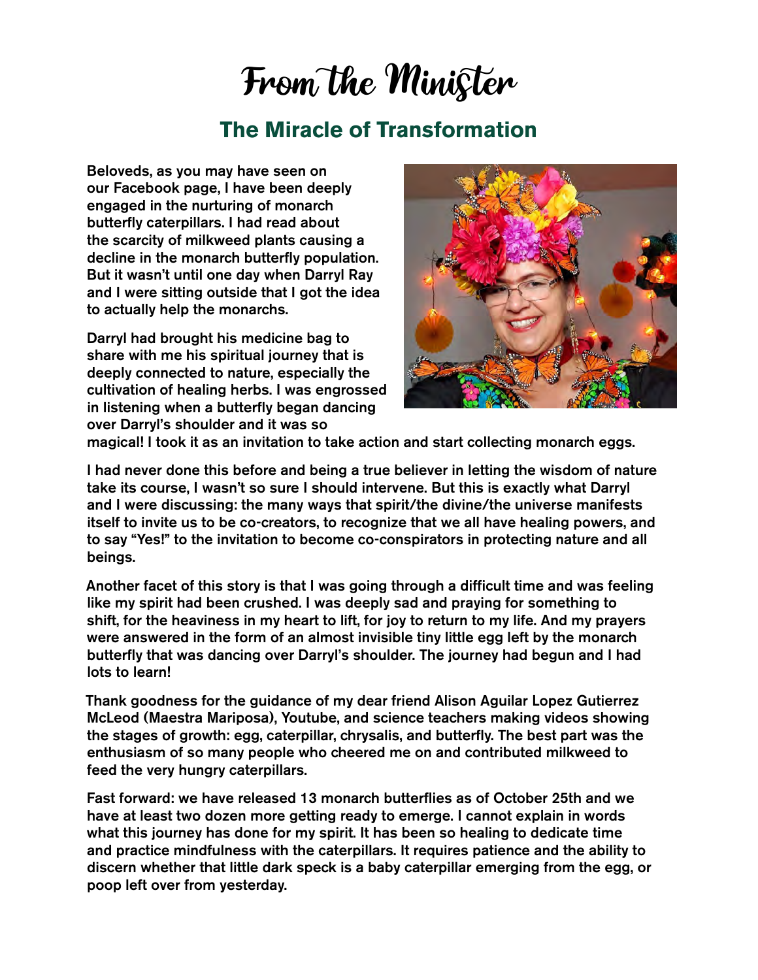### From the Minister

### **The Miracle of Transformation**

Beloveds, as you may have seen on our Facebook page, I have been deeply engaged in the nurturing of monarch butterfly caterpillars. I had read about the scarcity of milkweed plants causing a decline in the monarch butterfly population. But it wasn't until one day when Darryl Ray and I were sitting outside that I got the idea to actually help the monarchs.

Darryl had brought his medicine bag to share with me his spiritual journey that is deeply connected to nature, especially the cultivation of healing herbs. I was engrossed in listening when a butterfly began dancing over Darryl's shoulder and it was so



magical! I took it as an invitation to take action and start collecting monarch eggs.

I had never done this before and being a true believer in letting the wisdom of nature take its course, I wasn't so sure I should intervene. But this is exactly what Darryl and I were discussing: the many ways that spirit/the divine/the universe manifests itself to invite us to be co-creators, to recognize that we all have healing powers, and to say "Yes!" to the invitation to become co-conspirators in protecting nature and all beings.

Another facet of this story is that I was going through a difficult time and was feeling like my spirit had been crushed. I was deeply sad and praying for something to shift, for the heaviness in my heart to lift, for joy to return to my life. And my prayers were answered in the form of an almost invisible tiny little egg left by the monarch butterfly that was dancing over Darryl's shoulder. The journey had begun and I had lots to learn!

Thank goodness for the guidance of my dear friend Alison Aguilar Lopez Gutierrez McLeod (Maestra Mariposa), Youtube, and science teachers making videos showing the stages of growth: egg, caterpillar, chrysalis, and butterfly. The best part was the enthusiasm of so many people who cheered me on and contributed milkweed to feed the very hungry caterpillars.

Fast forward: we have released 13 monarch butterflies as of October 25th and we have at least two dozen more getting ready to emerge. I cannot explain in words what this journey has done for my spirit. It has been so healing to dedicate time and practice mindfulness with the caterpillars. It requires patience and the ability to discern whether that little dark speck is a baby caterpillar emerging from the egg, or poop left over from yesterday.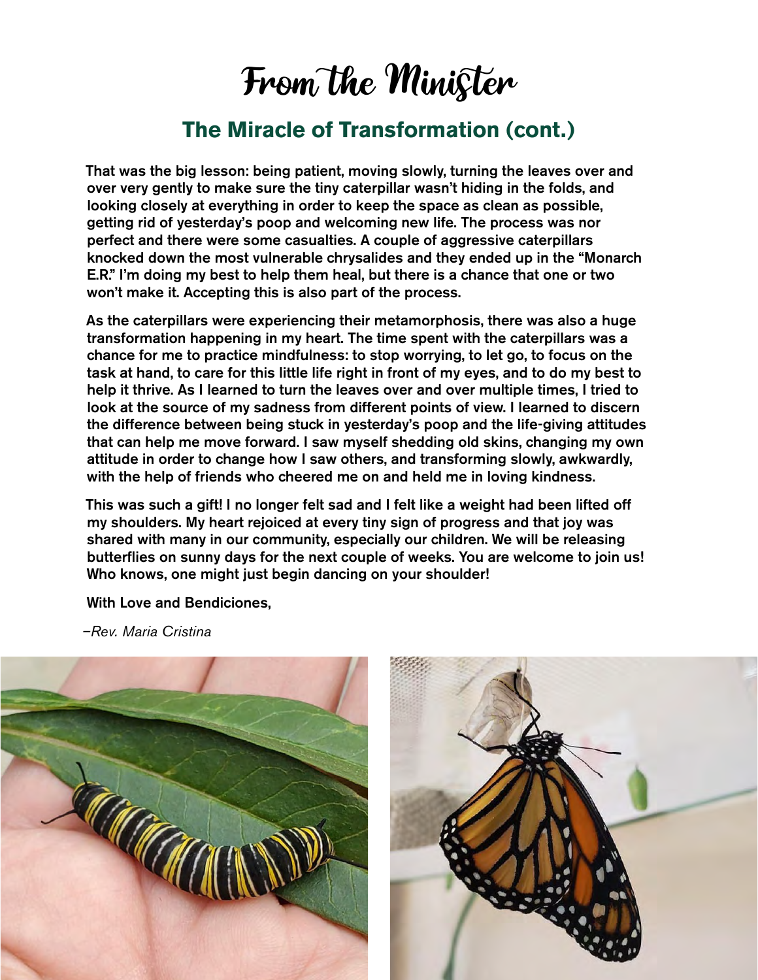### From the Minister

### **The Miracle of Transformation (cont.)**

That was the big lesson: being patient, moving slowly, turning the leaves over and over very gently to make sure the tiny caterpillar wasn't hiding in the folds, and looking closely at everything in order to keep the space as clean as possible, getting rid of yesterday's poop and welcoming new life. The process was nor perfect and there were some casualties. A couple of aggressive caterpillars knocked down the most vulnerable chrysalides and they ended up in the "Monarch E.R." I'm doing my best to help them heal, but there is a chance that one or two won't make it. Accepting this is also part of the process.

As the caterpillars were experiencing their metamorphosis, there was also a huge transformation happening in my heart. The time spent with the caterpillars was a chance for me to practice mindfulness: to stop worrying, to let go, to focus on the task at hand, to care for this little life right in front of my eyes, and to do my best to help it thrive. As I learned to turn the leaves over and over multiple times, I tried to look at the source of my sadness from different points of view. I learned to discern the difference between being stuck in yesterday's poop and the life-giving attitudes that can help me move forward. I saw myself shedding old skins, changing my own attitude in order to change how I saw others, and transforming slowly, awkwardly, with the help of friends who cheered me on and held me in loving kindness.

This was such a gift! I no longer felt sad and I felt like a weight had been lifted off my shoulders. My heart rejoiced at every tiny sign of progress and that joy was shared with many in our community, especially our children. We will be releasing butterflies on sunny days for the next couple of weeks. You are welcome to join us! Who knows, one might just begin dancing on your shoulder!

With Love and Bendiciones,

*–Rev. Maria Cristina*



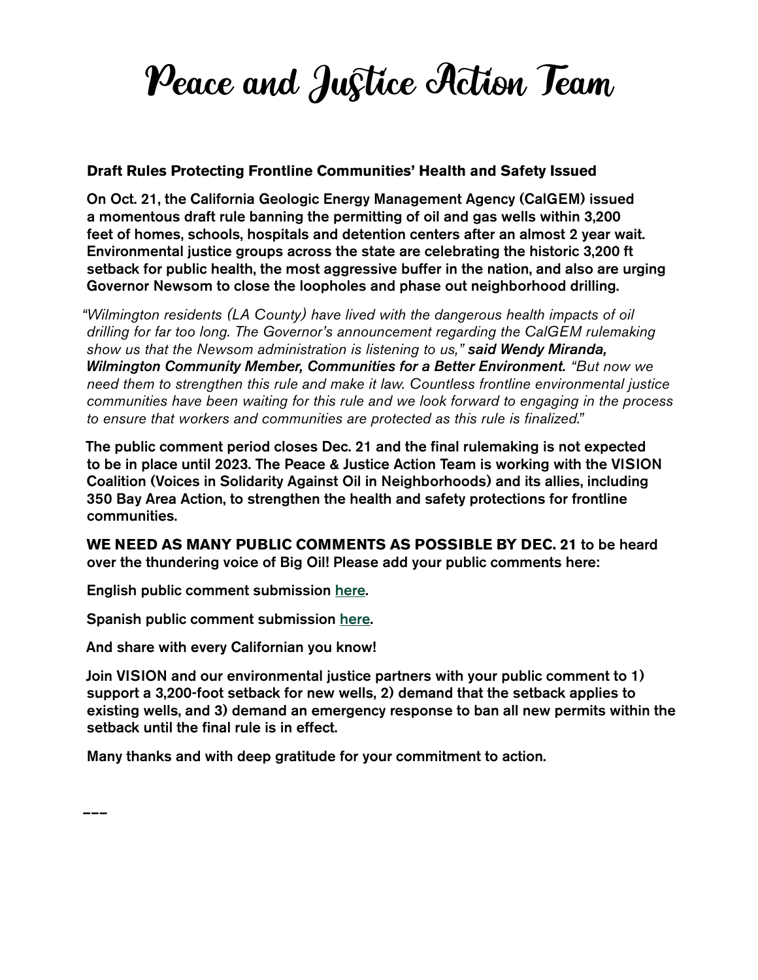# Peace and Justice Action Team

#### **Draft Rules Protecting Frontline Communities' Health and Safety Issued**

On Oct. 21, the California Geologic Energy Management Agency (CalGEM) issued a momentous draft rule banning the permitting of oil and gas wells within 3,200 feet of homes, schools, hospitals and detention centers after an almost 2 year wait. Environmental justice groups across the state are celebrating the historic 3,200 ft setback for public health, the most aggressive buffer in the nation, and also are urging Governor Newsom to close the loopholes and phase out neighborhood drilling.

*"Wilmington residents (LA County) have lived with the dangerous health impacts of oil drilling for far too long. The Governor's announcement regarding the CalGEM rulemaking show us that the Newsom administration is listening to us," said Wendy Miranda, Wilmington Community Member, Communities for a Better Environment. "But now we need them to strengthen this rule and make it law. Countless frontline environmental justice communities have been waiting for this rule and we look forward to engaging in the process to ensure that workers and communities are protected as this rule is finalized."*

The public comment period closes Dec. 21 and the final rulemaking is not expected to be in place until 2023. The Peace & Justice Action Team is working with the VISION Coalition (Voices in Solidarity Against Oil in Neighborhoods) and its allies, including 350 Bay Area Action, to strengthen the health and safety protections for frontline communities.

**WE NEED AS MANY PUBLIC COMMENTS AS POSSIBLE BY DEC. 21** to be heard over the thundering voice of Big Oil! Please add your public comments here:

English public comment submission [here](https://www.vision-ca.org/no-drilling/).

Spanish public comment submission [here](https://www.vision-ca.org/no-drilling-espanol/).

And share with every Californian you know!

Join VISION and our environmental justice partners with your public comment to 1) support a 3,200-foot setback for new wells, 2) demand that the setback applies to existing wells, and 3) demand an emergency response to ban all new permits within the setback until the final rule is in effect.

Many thanks and with deep gratitude for your commitment to action.

–––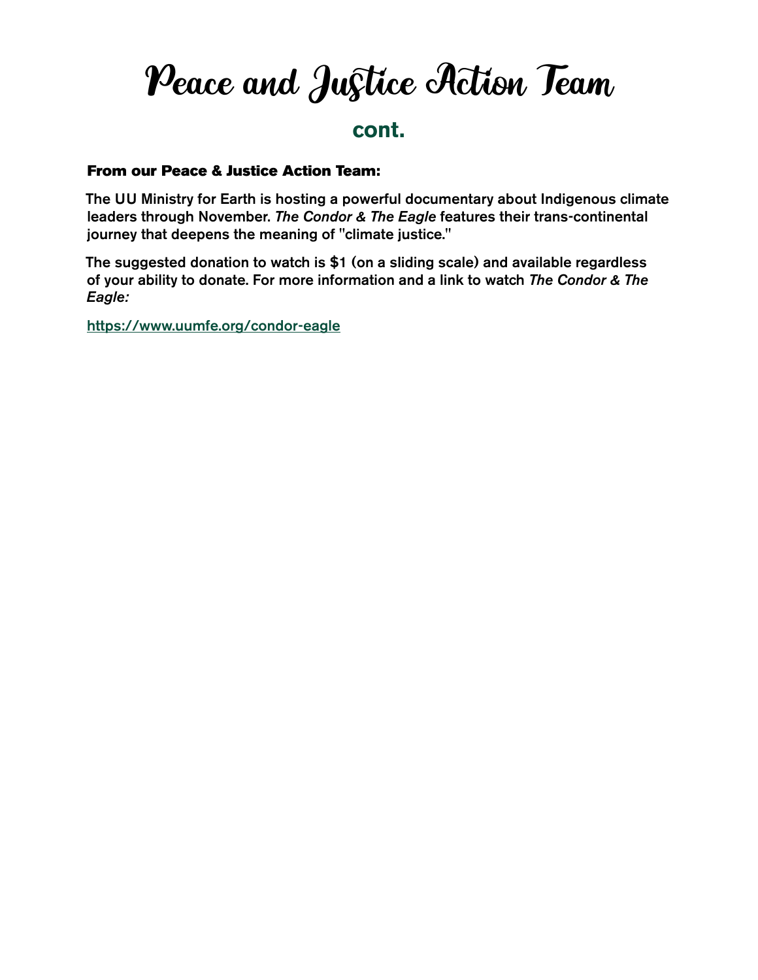### Peace and Justice Action Team

### **cont.**

#### From our Peace & Justice Action Team:

The UU Ministry for Earth is hosting a powerful documentary about Indigenous climate leaders through November. *The Condor & The Eagle* features their trans-continental journey that deepens the meaning of "climate justice."

The suggested donation to watch is \$1 (on a sliding scale) and available regardless of your ability to donate. For more information and a link to watch *The Condor & The Eagle:*

<https://www.uumfe.org/condor-eagle>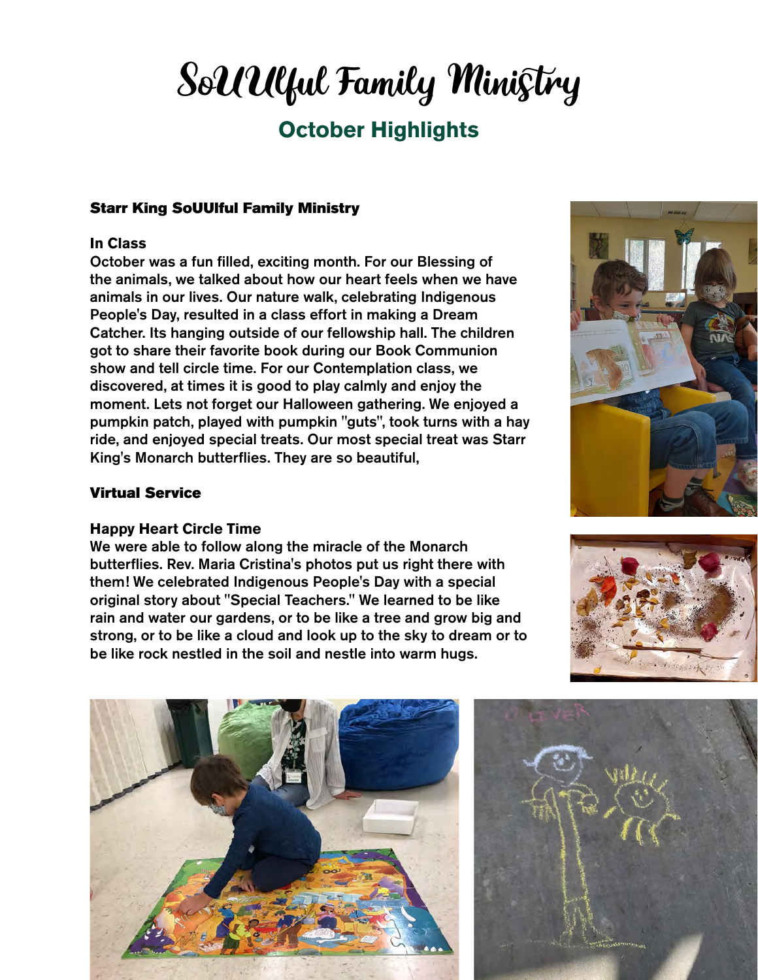# SoUUlful Family Ministry

### **October Highlights**

#### Starr King SoUUlful Family Ministry

#### **In Class**

October was a fun filled, exciting month. For our Blessing of the animals, we talked about how our heart feels when we have animals in our lives. Our nature walk, celebrating Indigenous People's Day, resulted in a class effort in making a Dream Catcher. Its hanging outside of our fellowship hall. The children got to share their favorite book during our Book Communion show and tell circle time. For our Contemplation class, we discovered, at times it is good to play calmly and enjoy the moment. Lets not forget our Halloween gathering. We enjoyed a pumpkin patch, played with pumpkin "guts", took turns with a hay ride, and enjoyed special treats. Our most special treat was Starr King's Monarch butterflies. They are so beautiful,

#### Virtual Service

#### **Happy Heart Circle Time**

We were able to follow along the miracle of the Monarch butterflies. Rev. Maria Cristina's photos put us right there with them! We celebrated Indigenous People's Day with a special original story about "Special Teachers." We learned to be like rain and water our gardens, or to be like a tree and grow big and strong, or to be like a cloud and look up to the sky to dream or to be like rock nestled in the soil and nestle into warm hugs.







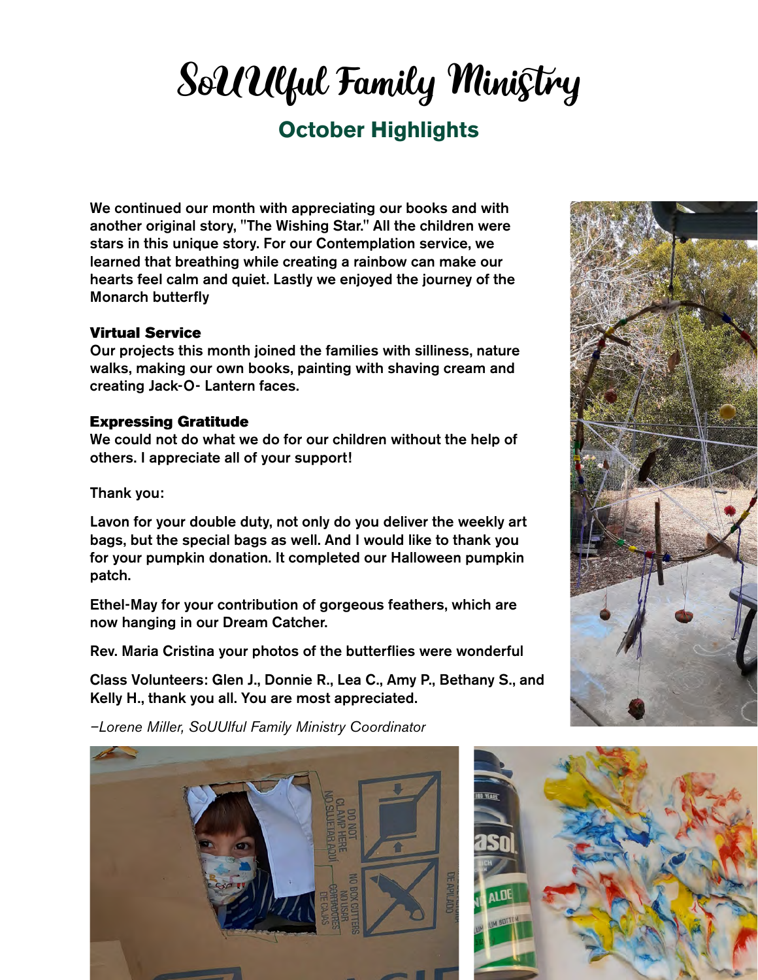# SoUUlful Family Ministry

### **October Highlights**

We continued our month with appreciating our books and with another original story, "The Wishing Star." All the children were stars in this unique story. For our Contemplation service, we learned that breathing while creating a rainbow can make our hearts feel calm and quiet. Lastly we enjoyed the journey of the Monarch butterfly

#### Virtual Service

Our projects this month joined the families with silliness, nature walks, making our own books, painting with shaving cream and creating Jack-O- Lantern faces.

#### Expressing Gratitude

We could not do what we do for our children without the help of others. I appreciate all of your support!

Thank you:

Lavon for your double duty, not only do you deliver the weekly art bags, but the special bags as well. And I would like to thank you for your pumpkin donation. It completed our Halloween pumpkin patch.

Ethel-May for your contribution of gorgeous feathers, which are now hanging in our Dream Catcher.

Rev. Maria Cristina your photos of the butterflies were wonderful

Class Volunteers: Glen J., Donnie R., Lea C., Amy P., Bethany S., and Kelly H., thank you all. You are most appreciated.